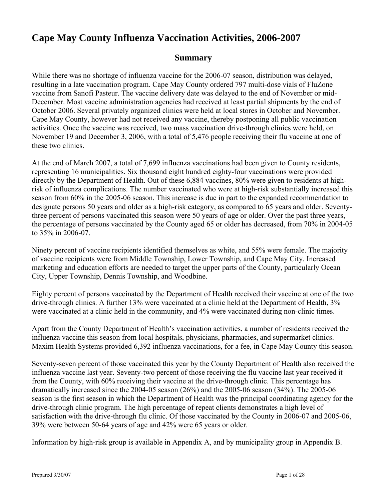# **Cape May County Influenza Vaccination Activities, 2006-2007**

# **Summary**

While there was no shortage of influenza vaccine for the 2006-07 season, distribution was delayed, resulting in a late vaccination program. Cape May County ordered 797 multi-dose vials of FluZone vaccine from Sanofi Pasteur. The vaccine delivery date was delayed to the end of November or mid-December. Most vaccine administration agencies had received at least partial shipments by the end of October 2006. Several privately organized clinics were held at local stores in October and November. Cape May County, however had not received any vaccine, thereby postponing all public vaccination activities. Once the vaccine was received, two mass vaccination drive-through clinics were held, on November 19 and December 3, 2006, with a total of 5,476 people receiving their flu vaccine at one of these two clinics.

At the end of March 2007, a total of 7,699 influenza vaccinations had been given to County residents, representing 16 municipalities. Six thousand eight hundred eighty-four vaccinations were provided directly by the Department of Health. Out of these 6,884 vaccines, 80% were given to residents at highrisk of influenza complications. The number vaccinated who were at high-risk substantially increased this season from 60% in the 2005-06 season. This increase is due in part to the expanded recommendation to designate persons 50 years and older as a high-risk category, as compared to 65 years and older. Seventythree percent of persons vaccinated this season were 50 years of age or older. Over the past three years, the percentage of persons vaccinated by the County aged 65 or older has decreased, from 70% in 2004-05 to 35% in 2006-07.

Ninety percent of vaccine recipients identified themselves as white, and 55% were female. The majority of vaccine recipients were from Middle Township, Lower Township, and Cape May City. Increased marketing and education efforts are needed to target the upper parts of the County, particularly Ocean City, Upper Township, Dennis Township, and Woodbine.

Eighty percent of persons vaccinated by the Department of Health received their vaccine at one of the two drive-through clinics. A further 13% were vaccinated at a clinic held at the Department of Health, 3% were vaccinated at a clinic held in the community, and 4% were vaccinated during non-clinic times.

Apart from the County Department of Health's vaccination activities, a number of residents received the influenza vaccine this season from local hospitals, physicians, pharmacies, and supermarket clinics. Maxim Health Systems provided 6,392 influenza vaccinations, for a fee, in Cape May County this season.

Seventy-seven percent of those vaccinated this year by the County Department of Health also received the influenza vaccine last year. Seventy-two percent of those receiving the flu vaccine last year received it from the County, with 60% receiving their vaccine at the drive-through clinic. This percentage has dramatically increased since the 2004-05 season (26%) and the 2005-06 season (34%). The 2005-06 season is the first season in which the Department of Health was the principal coordinating agency for the drive-through clinic program. The high percentage of repeat clients demonstrates a high level of satisfaction with the drive-through flu clinic. Of those vaccinated by the County in 2006-07 and 2005-06, 39% were between 50-64 years of age and 42% were 65 years or older.

Information by high-risk group is available in Appendix A, and by municipality group in Appendix B.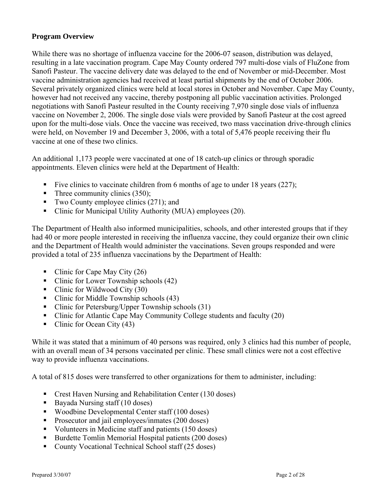#### **Program Overview**

While there was no shortage of influenza vaccine for the 2006-07 season, distribution was delayed, resulting in a late vaccination program. Cape May County ordered 797 multi-dose vials of FluZone from Sanofi Pasteur. The vaccine delivery date was delayed to the end of November or mid-December. Most vaccine administration agencies had received at least partial shipments by the end of October 2006. Several privately organized clinics were held at local stores in October and November. Cape May County, however had not received any vaccine, thereby postponing all public vaccination activities. Prolonged negotiations with Sanofi Pasteur resulted in the County receiving 7,970 single dose vials of influenza vaccine on November 2, 2006. The single dose vials were provided by Sanofi Pasteur at the cost agreed upon for the multi-dose vials. Once the vaccine was received, two mass vaccination drive-through clinics were held, on November 19 and December 3, 2006, with a total of 5,476 people receiving their flu vaccine at one of these two clinics.

An additional 1,173 people were vaccinated at one of 18 catch-up clinics or through sporadic appointments. Eleven clinics were held at the Department of Health:

- Five clinics to vaccinate children from 6 months of age to under 18 years  $(227)$ ;
- $\blacksquare$  Three community clinics (350);
- Two County employee clinics  $(271)$ ; and
- Clinic for Municipal Utility Authority (MUA) employees (20).

The Department of Health also informed municipalities, schools, and other interested groups that if they had 40 or more people interested in receiving the influenza vaccine, they could organize their own clinic and the Department of Health would administer the vaccinations. Seven groups responded and were provided a total of 235 influenza vaccinations by the Department of Health:

- Clinic for Cape May City  $(26)$
- Clinic for Lower Township schools (42)
- Clinic for Wildwood City  $(30)$
- Clinic for Middle Township schools (43)
- Clinic for Petersburg/Upper Township schools (31)
- Clinic for Atlantic Cape May Community College students and faculty (20)
- Clinic for Ocean City  $(43)$

While it was stated that a minimum of 40 persons was required, only 3 clinics had this number of people, with an overall mean of 34 persons vaccinated per clinic. These small clinics were not a cost effective way to provide influenza vaccinations.

A total of 815 doses were transferred to other organizations for them to administer, including:

- Crest Haven Nursing and Rehabilitation Center (130 doses)
- Bayada Nursing staff  $(10 \text{ doses})$
- Woodbine Developmental Center staff (100 doses)
- **Prosecutor and jail employees/inmates (200 doses)**
- Volunteers in Medicine staff and patients (150 doses)
- Burdette Tomlin Memorial Hospital patients (200 doses)
- County Vocational Technical School staff (25 doses)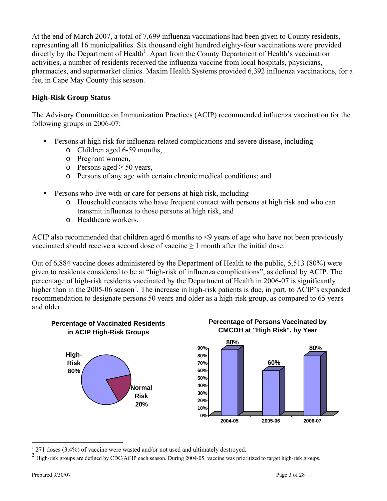At the end of March 2007, a total of 7,699 influenza vaccinations had been given to County residents, representing all 16 municipalities. Six thousand eight hundred eighty-four vaccinations were provided directly by the Department of Health<sup>1</sup>. Apart from the County Department of Health's vaccination activities, a number of residents received the influenza vaccine from local hospitals, physicians, pharmacies, and supermarket clinics. Maxim Health Systems provided 6,392 influenza vaccinations, for a fee, in Cape May County this season.

### **High-Risk Group Status**

The Advisory Committee on Immunization Practices (ACIP) recommended influenza vaccination for the following groups in 2006-07:

- Persons at high risk for influenza-related complications and severe disease, including
	- o Children aged 6-59 months,
	- o Pregnant women,
	- o Persons aged  $\geq 50$  years,
	- o Persons of any age with certain chronic medical conditions; and
- Persons who live with or care for persons at high risk, including
	- o Household contacts who have frequent contact with persons at high risk and who can transmit influenza to those persons at high risk, and
	- o Healthcare workers.

ACIP also recommended that children aged 6 months to <9 years of age who have not been previously vaccinated should receive a second dose of vaccine  $\geq 1$  month after the initial dose.

Out of 6,884 vaccine doses administered by the Department of Health to the public, 5,513 (80%) were given to residents considered to be at "high-risk of influenza complications", as defined by ACIP. The percentage of high-risk residents vaccinated by the Department of Health in 2006-07 is significantly higher than in the 2005-06 season<sup>2</sup>. The increase in high-risk patients is due, in part, to ACIP's expanded recommendation to designate persons 50 years and older as a high-risk group, as compared to 65 years and older.







 $1271$  doses (3.4%) of vaccine were wasted and/or not used and ultimately destroyed.

<sup>2</sup> High-risk groups are defined by CDC/ACIP each season. During 2004-05, vaccine was prioritized to target high-risk groups.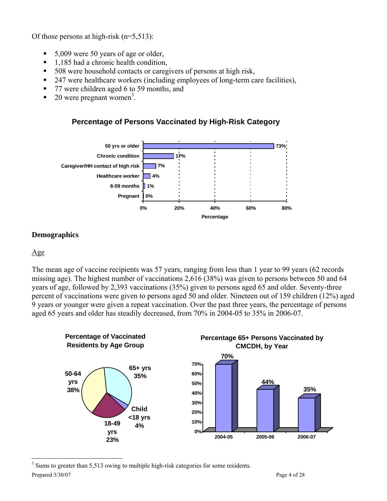Of those persons at high-risk (n=5,513):

- $\blacksquare$  5,009 were 50 years of age or older,
- 1,185 had a chronic health condition,
- 508 were household contacts or caregivers of persons at high risk,
- <sup>247</sup> were healthcare workers (including employees of long-term care facilities),
- 77 were children aged 6 to 59 months, and
- $\bullet$  20 were pregnant women<sup>3</sup>.





## **Demographics**

#### Age

The mean age of vaccine recipients was 57 years, ranging from less than 1 year to 99 years (62 records missing age). The highest number of vaccinations 2,616 (38%) was given to persons between 50 and 64 years of age, followed by 2,393 vaccinations (35%) given to persons aged 65 and older. Seventy-three percent of vaccinations were given to persons aged 50 and older. Nineteen out of 159 children (12%) aged 9 years or younger were given a repeat vaccination. Over the past three years, the percentage of persons aged 65 years and older has steadily decreased, from 70% in 2004-05 to 35% in 2006-07.



Prepared  $3/30/07$  Page 4 of 28 <sup>3</sup> Sums to greater than 5,513 owing to multiple high-risk categories for some residents.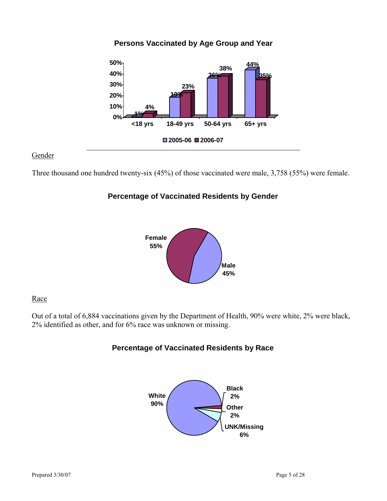

**Persons Vaccinated by Age Group and Year**

#### **Gender**

Three thousand one hundred twenty-six (45%) of those vaccinated were male, 3,758 (55%) were female.

# **Percentage of Vaccinated Residents by Gender**



#### Race

Out of a total of 6,884 vaccinations given by the Department of Health, 90% were white, 2% were black, 2% identified as other, and for 6% race was unknown or missing.

## **Percentage of Vaccinated Residents by Race**

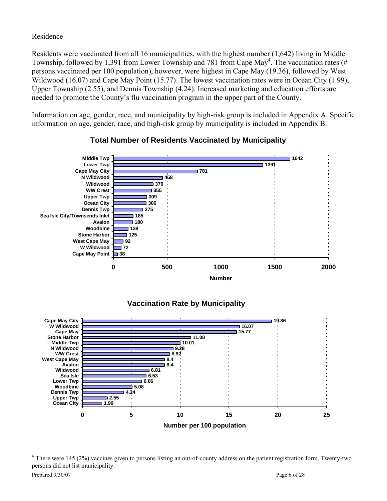### Residence

Residents were vaccinated from all 16 municipalities, with the highest number (1,642) living in Middle Township, followed by 1,391 from Lower Township and 781 from Cape May<sup>4</sup>. The vaccination rates (# persons vaccinated per 100 population), however, were highest in Cape May (19.36), followed by West Wildwood (16.07) and Cape May Point (15.77). The lowest vaccination rates were in Ocean City (1.99), Upper Township (2.55), and Dennis Township (4.24). Increased marketing and education efforts are needed to promote the County's flu vaccination program in the upper part of the County.

Information on age, gender, race, and municipality by high-risk group is included in Appendix A. Specific information on age, gender, race, and high-risk group by municipality is included in Appendix B.



## **Total Number of Residents Vaccinated by Municipality**





 $4$  There were 145 (2%) vaccines given to persons listing an out-of-county address on the patient registration form. Twenty-two persons did not list municipality.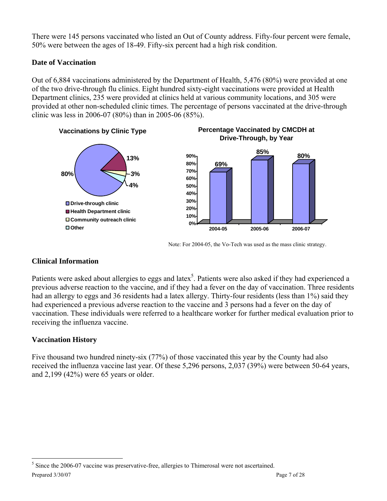There were 145 persons vaccinated who listed an Out of County address. Fifty-four percent were female, 50% were between the ages of 18-49. Fifty-six percent had a high risk condition.

# **Date of Vaccination**

Out of 6,884 vaccinations administered by the Department of Health, 5,476 (80%) were provided at one of the two drive-through flu clinics. Eight hundred sixty-eight vaccinations were provided at Health Department clinics, 235 were provided at clinics held at various community locations, and 305 were provided at other non-scheduled clinic times. The percentage of persons vaccinated at the drive-through clinic was less in 2006-07 (80%) than in 2005-06 (85%).



Note: For 2004-05, the Vo-Tech was used as the mass clinic strategy.

## **Clinical Information**

Patients were asked about allergies to eggs and latex<sup>5</sup>. Patients were also asked if they had experienced a previous adverse reaction to the vaccine, and if they had a fever on the day of vaccination. Three residents had an allergy to eggs and 36 residents had a latex allergy. Thirty-four residents (less than 1%) said they had experienced a previous adverse reaction to the vaccine and 3 persons had a fever on the day of vaccination. These individuals were referred to a healthcare worker for further medical evaluation prior to receiving the influenza vaccine.

## **Vaccination History**

Five thousand two hundred ninety-six (77%) of those vaccinated this year by the County had also received the influenza vaccine last year. Of these 5,296 persons, 2,037 (39%) were between 50-64 years, and 2,199 (42%) were 65 years or older.

Prepared  $3/30/07$  Page 7 of 28 <sup>5</sup> Since the 2006-07 vaccine was preservative-free, allergies to Thimerosal were not ascertained.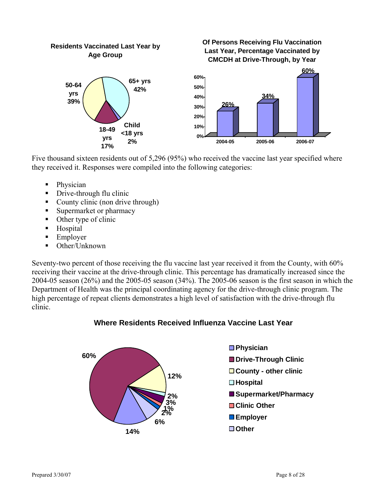

Five thousand sixteen residents out of 5,296 (95%) who received the vaccine last year specified where they received it. Responses were compiled into the following categories:

- Physician
- Drive-through flu clinic
- County clinic (non drive through)
- Supermarket or pharmacy
- Other type of clinic
- **Hospital**
- **Employer**
- Other/Unknown

Seventy-two percent of those receiving the flu vaccine last year received it from the County, with 60% receiving their vaccine at the drive-through clinic. This percentage has dramatically increased since the 2004-05 season (26%) and the 2005-05 season (34%). The 2005-06 season is the first season in which the Department of Health was the principal coordinating agency for the drive-through clinic program. The high percentage of repeat clients demonstrates a high level of satisfaction with the drive-through flu clinic.





- **Physician**
- **Drive-Through Clinic**
- **County other clinic**
- **Hospital**
- **Supermarket/Pharmacy**
- ■Clinic Other
- **Employer**
- **Other**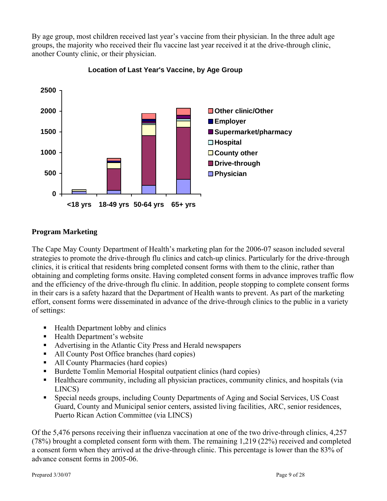By age group, most children received last year's vaccine from their physician. In the three adult age groups, the majority who received their flu vaccine last year received it at the drive-through clinic, another County clinic, or their physician.



**Location of Last Year's Vaccine, by Age Group**

### **Program Marketing**

The Cape May County Department of Health's marketing plan for the 2006-07 season included several strategies to promote the drive-through flu clinics and catch-up clinics. Particularly for the drive-through clinics, it is critical that residents bring completed consent forms with them to the clinic, rather than obtaining and completing forms onsite. Having completed consent forms in advance improves traffic flow and the efficiency of the drive-through flu clinic. In addition, people stopping to complete consent forms in their cars is a safety hazard that the Department of Health wants to prevent. As part of the marketing effort, consent forms were disseminated in advance of the drive-through clinics to the public in a variety of settings:

- Health Department lobby and clinics
- Health Department's website
- Advertising in the Atlantic City Press and Herald newspapers
- All County Post Office branches (hard copies)
- All County Pharmacies (hard copies)
- Burdette Tomlin Memorial Hospital outpatient clinics (hard copies)
- Healthcare community, including all physician practices, community clinics, and hospitals (via LINCS)
- Special needs groups, including County Departments of Aging and Social Services, US Coast Guard, County and Municipal senior centers, assisted living facilities, ARC, senior residences, Puerto Rican Action Committee (via LINCS)

Of the 5,476 persons receiving their influenza vaccination at one of the two drive-through clinics, 4,257 (78%) brought a completed consent form with them. The remaining 1,219 (22%) received and completed a consent form when they arrived at the drive-through clinic. This percentage is lower than the 83% of advance consent forms in 2005-06.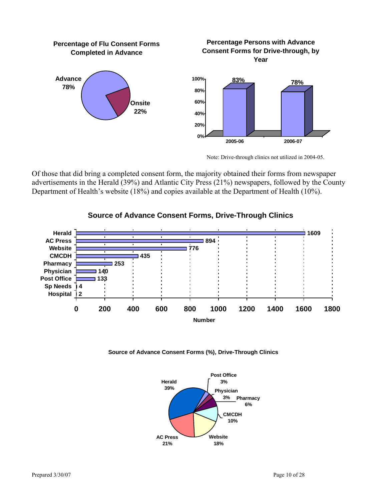

Note: Drive-through clinics not utilized in 2004-05.

Of those that did bring a completed consent form, the majority obtained their forms from newspaper advertisements in the Herald (39%) and Atlantic City Press (21%) newspapers, followed by the County Department of Health's website (18%) and copies available at the Department of Health (10%).



# **Source of Advance Consent Forms, Drive-Through Clinics**

**Source of Advance Consent Forms (%), Drive-Through Clinics**

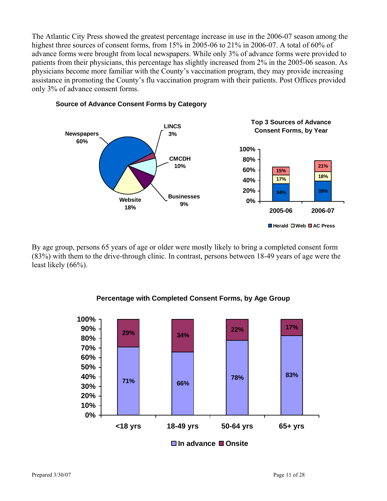The Atlantic City Press showed the greatest percentage increase in use in the 2006-07 season among the highest three sources of consent forms, from 15% in 2005-06 to 21% in 2006-07. A total of 60% of advance forms were brought from local newspapers. While only 3% of advance forms were provided to patients from their physicians, this percentage has slightly increased from 2% in the 2005-06 season. As physicians become more familiar with the County's vaccination program, they may provide increasing assistance in promoting the County's flu vaccination program with their patients. Post Offices provided only 3% of advance consent forms.



#### **Source of Advance Consent Forms by Category**

By age group, persons 65 years of age or older were mostly likely to bring a completed consent form (83%) with them to the drive-through clinic. In contrast, persons between 18-49 years of age were the least likely (66%).



#### **Percentage with Completed Consent Forms, by Age Group**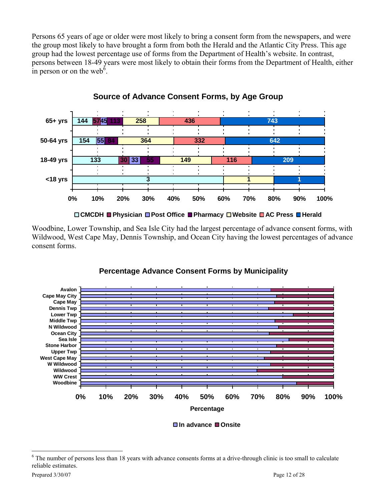Persons 65 years of age or older were most likely to bring a consent form from the newspapers, and were the group most likely to have brought a form from both the Herald and the Atlantic City Press. This age group had the lowest percentage use of forms from the Department of Health's website. In contrast, persons between 18-49 years were most likely to obtain their forms from the Department of Health, either in person or on the web<sup> $\delta$ </sup>.



**Source of Advance Consent Forms, by Age Group** 

**CMCDH Physician Post Office Pharmacy Website AC Press Herald**

Woodbine, Lower Township, and Sea Isle City had the largest percentage of advance consent forms, with Wildwood, West Cape May, Dennis Township, and Ocean City having the lowest percentages of advance consent forms.



# **Percentage Advance Consent Forms by Municipality**

**In advance Onsite**

<sup>&</sup>lt;sup>6</sup> The number of persons less than 18 years with advance consents forms at a drive-through clinic is too small to calculate reliable estimates.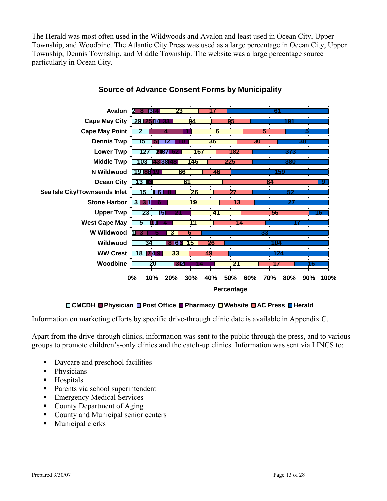The Herald was most often used in the Wildwoods and Avalon and least used in Ocean City, Upper Township, and Woodbine. The Atlantic City Press was used as a large percentage in Ocean City, Upper Township, Dennis Township, and Middle Township. The website was a large percentage source particularly in Ocean City.



#### **Source of Advance Consent Forms by Municipality**

#### **CMCDH Physician Post Office Pharmacy Website AC Press Herald**

Information on marketing efforts by specific drive-through clinic date is available in Appendix C.

Apart from the drive-through clinics, information was sent to the public through the press, and to various groups to promote children's-only clinics and the catch-up clinics. Information was sent via LINCS to:

- Daycare and preschool facilities
- Physicians
- **Hospitals**
- Parents via school superintendent
- **Emergency Medical Services**
- County Department of Aging
- County and Municipal senior centers
- **Municipal clerks**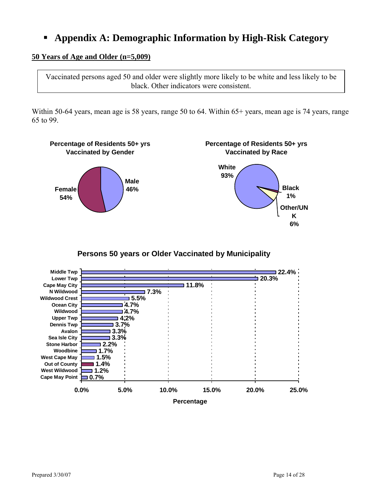# **Appendix A: Demographic Information by High-Risk Category**

#### **50 Years of Age and Older (n=5,009)**

Vaccinated persons aged 50 and older were slightly more likely to be white and less likely to be black. Other indicators were consistent.

Within 50-64 years, mean age is 58 years, range 50 to 64. Within 65+ years, mean age is 74 years, range 65 to 99.



**Persons 50 years or Older Vaccinated by Municipality**

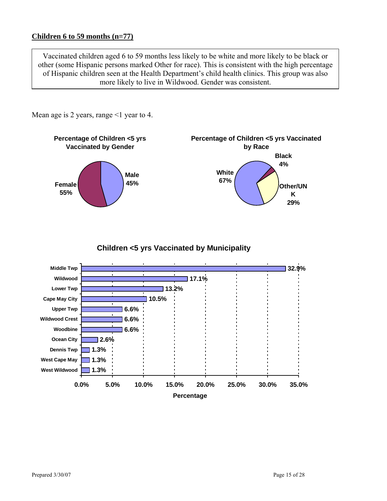#### **Children 6 to 59 months (n=77)**

Vaccinated children aged 6 to 59 months less likely to be white and more likely to be black or other (some Hispanic persons marked Other for race). This is consistent with the high percentage of Hispanic children seen at the Health Department's child health clinics. This group was also more likely to live in Wildwood. Gender was consistent.

**Percentage of Children <5 yrs Vaccinated by Gender Male Female 45% 55% Percentage of Children <5 yrs Vaccinated by Race White 67% Black 4% Other/UN K 29%**

**Children <5 yrs Vaccinated by Municipality**



Mean age is 2 years, range  $\leq 1$  year to 4.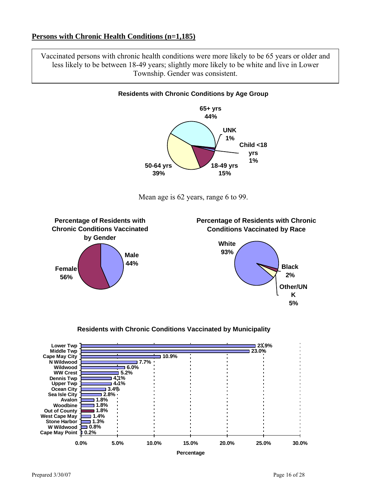#### **Persons with Chronic Health Conditions (n=1,185)**

Vaccinated persons with chronic health conditions were more likely to be 65 years or older and less likely to be between 18-49 years; slightly more likely to be white and live in Lower Township. Gender was consistent.







**5%**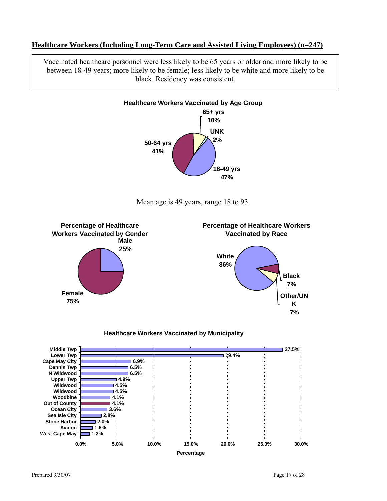#### **Healthcare Workers (Including Long-Term Care and Assisted Living Employees) (n=247)**

Vaccinated healthcare personnel were less likely to be 65 years or older and more likely to be between 18-49 years; more likely to be female; less likely to be white and more likely to be black. Residency was consistent.



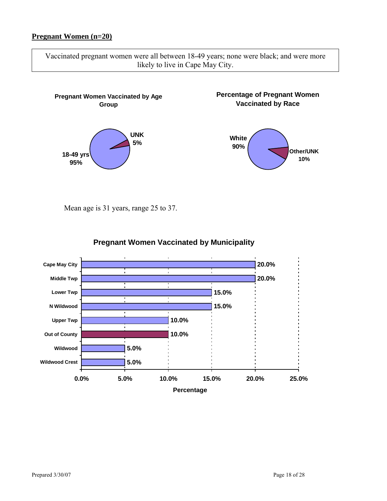#### **Pregnant Women (n=20)**

Vaccinated pregnant women were all between 18-49 years; none were black; and were more likely to live in Cape May City.



Mean age is 31 years, range 25 to 37.



### **Pregnant Women Vaccinated by Municipality**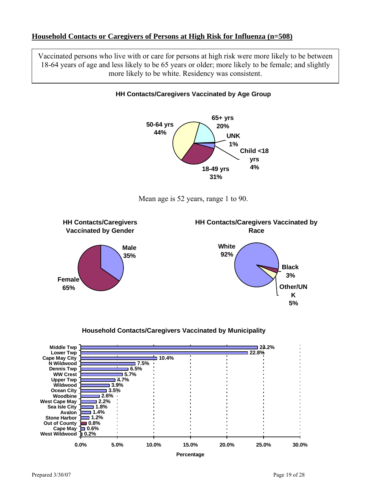#### **Household Contacts or Caregivers of Persons at High Risk for Influenza (n=508)**

Vaccinated persons who live with or care for persons at high risk were more likely to be between 18-64 years of age and less likely to be 65 years or older; more likely to be female; and slightly more likely to be white. Residency was consistent.

**HH Contacts/Caregivers Vaccinated by Age Group**









#### **Household Contacts/Caregivers Vaccinated by Municipality**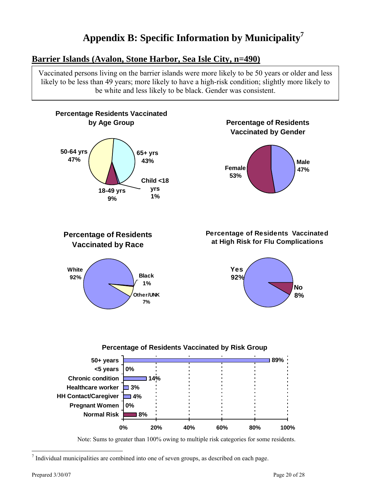# **Appendix B: Specific Information by Municipality7**

# **Barrier Islands (Avalon, Stone Harbor, Sea Isle City, n=490)**

Vaccinated persons living on the barrier islands were more likely to be 50 years or older and less likely to be less than 49 years; more likely to have a high-risk condition; slightly more likely to be white and less likely to be black. Gender was consistent.



Note: Sums to greater than 100% owing to multiple risk categories for some residents.

 7 Individual municipalities are combined into one of seven groups, as described on each page.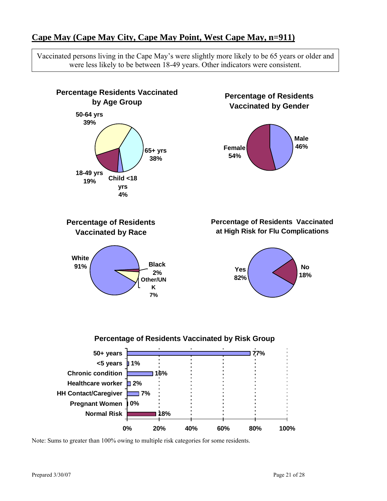# **Cape May (Cape May City, Cape May Point, West Cape May, n=911)**

Vaccinated persons living in the Cape May's were slightly more likely to be 65 years or older and were less likely to be between 18-49 years. Other indicators were consistent.

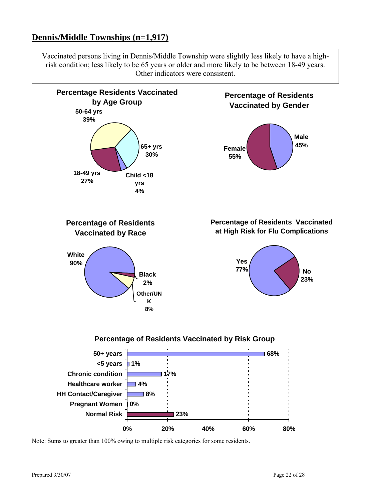# **Dennis/Middle Townships (n=1,917)**

Vaccinated persons living in Dennis/Middle Township were slightly less likely to have a highrisk condition; less likely to be 65 years or older and more likely to be between 18-49 years. Other indicators were consistent.

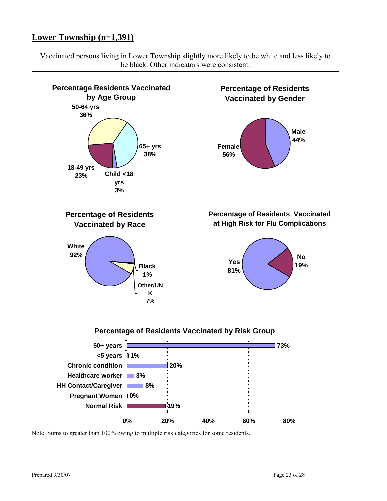# **Lower Township (n=1,391)**

Vaccinated persons living in Lower Township slightly more likely to be white and less likely to be black. Other indicators were consistent.

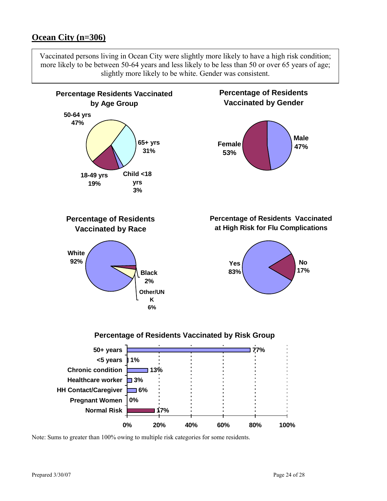# **Ocean City (n=306)**

Vaccinated persons living in Ocean City were slightly more likely to have a high risk condition; more likely to be between 50-64 years and less likely to be less than 50 or over 65 years of age; slightly more likely to be white. Gender was consistent.

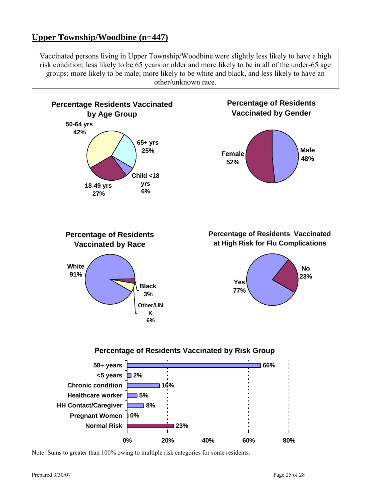# **Upper Township/Woodbine (n=447)**

Vaccinated persons living in Upper Township/Woodbine were slightly less likely to have a high risk condition; less likely to be 65 years or older and more likely to be in all of the under-65 age groups; more likely to be male; more likely to be white and black, and less likely to have an other/unknown race.



Note: Sums to greater than 100% owing to multiple risk categories for some residents.

**0%**

**Normal Risk Pregnant Women HH Contact/Caregiver** **8%**

**23%**

**0% 20% 40% 60% 80%**

Prepared  $3/30/07$  Page 25 of 28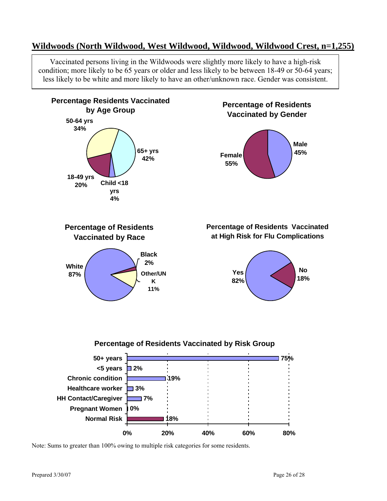# **Wildwoods (North Wildwood, West Wildwood, Wildwood, Wildwood Crest, n=1,255)**

Vaccinated persons living in the Wildwoods were slightly more likely to have a high-risk condition; more likely to be 65 years or older and less likely to be between 18-49 or 50-64 years; less likely to be white and more likely to have an other/unknown race. Gender was consistent.

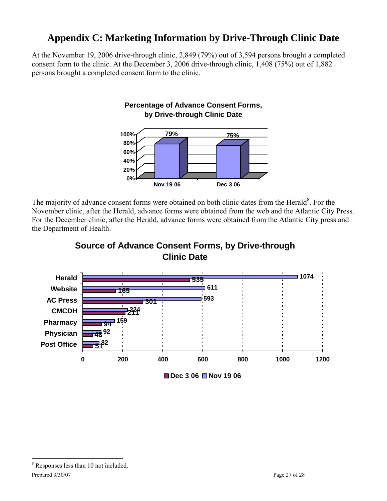# **Appendix C: Marketing Information by Drive-Through Clinic Date**

At the November 19, 2006 drive-through clinic, 2,849 (79%) out of 3,594 persons brought a completed consent form to the clinic. At the December 3, 2006 drive-through clinic, 1,408 (75%) out of 1,882 persons brought a completed consent form to the clinic.



The majority of advance consent forms were obtained on both clinic dates from the Herald<sup>8</sup>. For the November clinic, after the Herald, advance forms were obtained from the web and the Atlantic City Press. For the December clinic, after the Herald, advance forms were obtained from the Atlantic City press and the Department of Health.



**Source of Advance Consent Forms, by Drive-through** 

<sup>■</sup> Dec 3 06 ■ Nov 19 06

<sup>8</sup> Responses less than 10 not included.